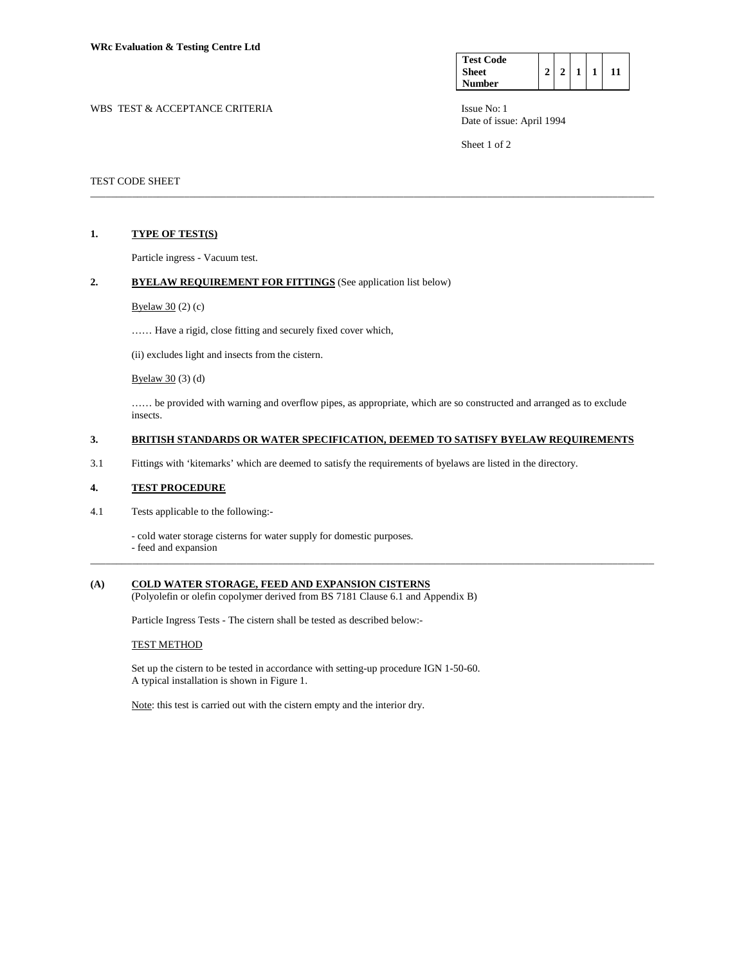| <b>Test Code</b> |  |  |  |
|------------------|--|--|--|
| <b>Sheet</b>     |  |  |  |
| Number           |  |  |  |

WBS TEST & ACCEPTANCE CRITERIA ISSUE No: 1 Date of issue: April 1994

Sheet 1 of 2

### TEST CODE SHEET

### **1. TYPE OF TEST(S)**

Particle ingress - Vacuum test.

### 2. BYELAW REQUIREMENT FOR FITTINGS (See application list below)

Byelaw  $30(2)(c)$ 

…… Have a rigid, close fitting and securely fixed cover which,

(ii) excludes light and insects from the cistern.

Byelaw 30 (3) (d)

…… be provided with warning and overflow pipes, as appropriate, which are so constructed and arranged as to exclude insects.

\_\_\_\_\_\_\_\_\_\_\_\_\_\_\_\_\_\_\_\_\_\_\_\_\_\_\_\_\_\_\_\_\_\_\_\_\_\_\_\_\_\_\_\_\_\_\_\_\_\_\_\_\_\_\_\_\_\_\_\_\_\_\_\_\_\_\_\_\_\_\_\_\_\_\_\_\_\_\_\_\_\_\_\_\_\_\_\_\_\_\_\_\_\_\_\_\_\_\_\_\_\_\_\_\_\_\_\_

\_\_\_\_\_\_\_\_\_\_\_\_\_\_\_\_\_\_\_\_\_\_\_\_\_\_\_\_\_\_\_\_\_\_\_\_\_\_\_\_\_\_\_\_\_\_\_\_\_\_\_\_\_\_\_\_\_\_\_\_\_\_\_\_\_\_\_\_\_\_\_\_\_\_\_\_\_\_\_\_\_\_\_\_\_\_\_\_\_\_\_\_\_\_\_\_\_\_\_\_\_\_\_\_\_\_\_\_

## **3. BRITISH STANDARDS OR WATER SPECIFICATION, DEEMED TO SATISFY BYELAW REQUIREMENTS**

3.1 Fittings with 'kitemarks' which are deemed to satisfy the requirements of byelaws are listed in the directory.

#### **4. TEST PROCEDURE**

4.1 Tests applicable to the following:-

- cold water storage cisterns for water supply for domestic purposes.

- feed and expansion

# **(A) COLD WATER STORAGE, FEED AND EXPANSION CISTERNS**

(Polyolefin or olefin copolymer derived from BS 7181 Clause 6.1 and Appendix B)

Particle Ingress Tests - The cistern shall be tested as described below:-

### TEST METHOD

 Set up the cistern to be tested in accordance with setting-up procedure IGN 1-50-60. A typical installation is shown in Figure 1.

Note: this test is carried out with the cistern empty and the interior dry.